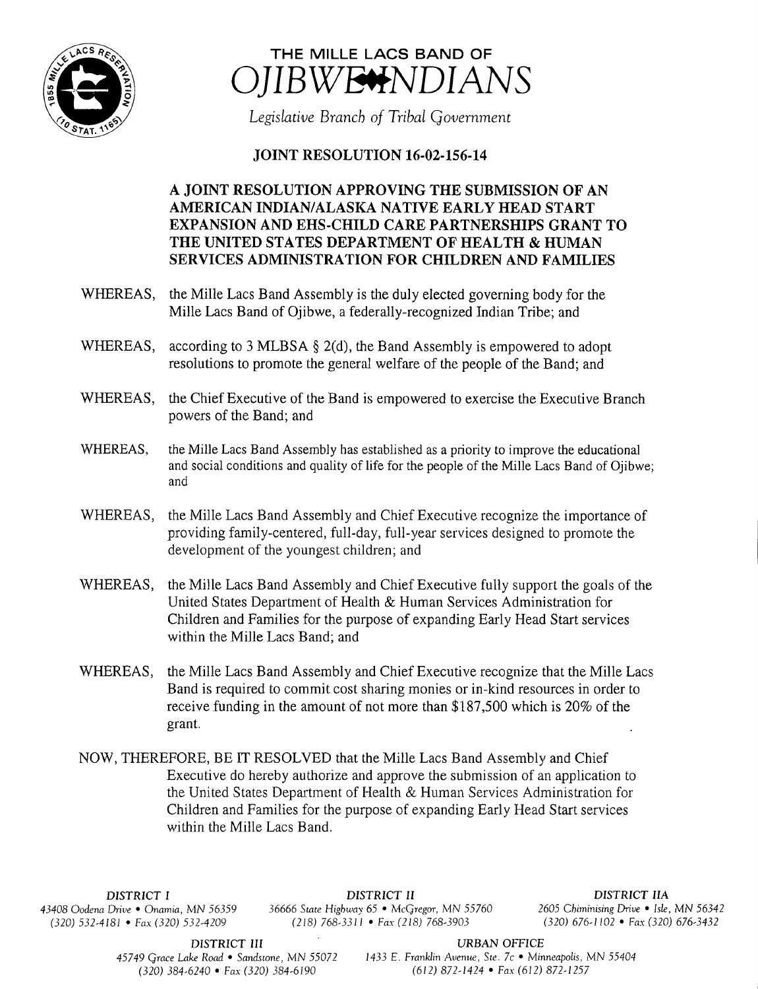

## THE MILLE LACS BAND OF IBWE<del>V</del>NDIANS

Legislative Branch of Tribal Government

## **JOINT RESOLUTION 16-02-156-14**

## A JOINT RESOLUTION APPROVING THE SUBMISSION OF AN AMERICAN INDIAN/ALASKA NATIVE EARLY HEAD START EXPANSION AND EHS-CHILD CARE PARTNERSHIPS GRANT TO THE UNITED STATES DEPARTMENT OF HEALTH & HUMAN SERVICES ADMINISTRATION FOR CHILDREN AND FAMILIES

- WHEREAS, the Mille Lacs Band Assembly is the duly elected governing body for the Mille Lacs Band of Ojibwe, a federally-recognized Indian Tribe; and
- WHEREAS, according to 3 MLBSA  $\S$  2(d), the Band Assembly is empowered to adopt resolutions to promote the general welfare of the people of the Band; and
- WHEREAS, the Chief Executive of the Band is empowered to exercise the Executive Branch powers of the Band; and
- WHEREAS, the Mille Lacs Band Assembly has established as a priority to improve the educational and social conditions and quality of life for the people of the Mille Lacs Band of Ojibwe; and
- WHEREAS, the Mille Lacs Band Assembly and Chief Executive recognize the importance of providing family-centered, full-day, full- year services designed to promote the development of the youngest children; and
- WHEREAS, the Mille Lacs Band Assembly and Chief Executive fully support the goals of the United States Department of Health & Human Services Administration for Children and Families for the purpose of expanding Early Head Start services within the Mille Lacs Band; and
- WHEREAS, the Mille Lacs Band Assembly and Chief Executive recognize that the Mille Lacs Band is required to commit cost sharing monies or in- kind resources in order to receive funding in the amount of not more than \$187,500 which is 20% of the grant.
- NOW, THEREFORE, BE IT RESOLVED that the Mille Lacs Band Assembly and Chief Executive do hereby authorize and approve the submission of an application to the United States Department of Health & Human Services Administration for Children and Families for the purpose of expanding Early Head Start services within the Mille Lacs Band.

DISTRICT I DISTRICT II DISTRICT IIA 43408 Oodena Drive • Onamia, MN 56359 36666 State Highway 65 • McGregor, MN 55760 <sup>2605</sup> Chiminising Drive • Isle, MN 56342  $(218) 768-3311$  • Fax( 218) 768-3903

DISTRICT III URBAN OFFICE

45749 Grace Lake Road • Sandstone, MN 55072 1433 E. Franklin Avenue, Ste. 7c • Minneapolis, MN 55404 320) 384- 6240 • Fax( 320) 384- 6190 612) 872- 1424 • Fax( 612) 872- 1257